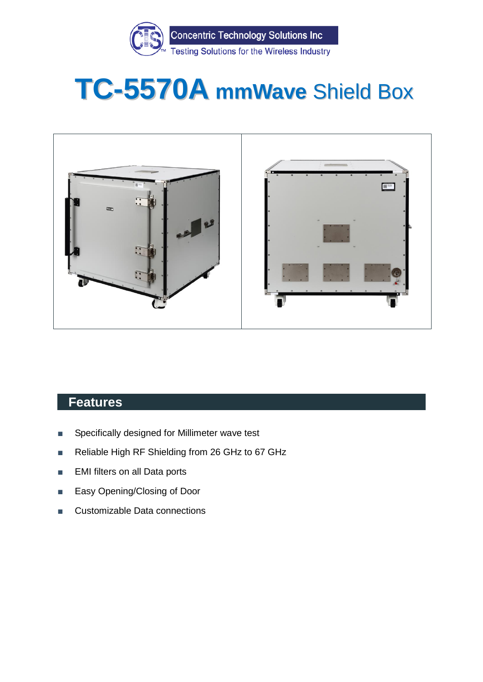

# **TC-5570A mmWave** Shield Box



#### **Features**

- Specifically designed for Millimeter wave test
- Reliable High RF Shielding from 26 GHz to 67 GHz
- EMI filters on all Data ports
- Easy Opening/Closing of Door
- Customizable Data connections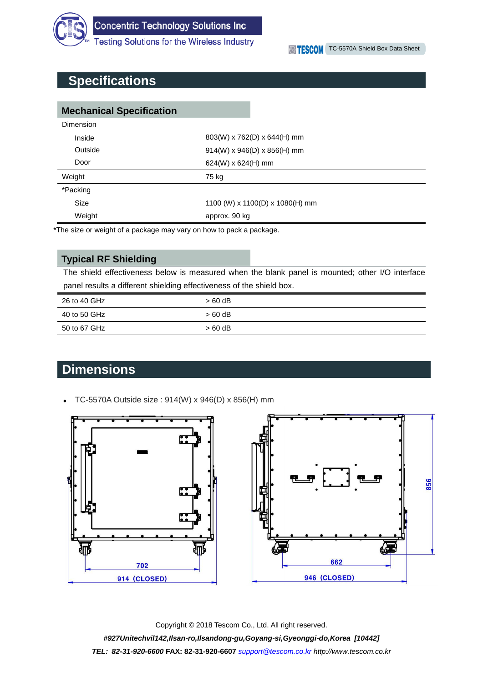

**Testing Solutions for the Wireless Industry** 

### **Specifications**

| <b>Mechanical Specification</b> |                                 |  |  |
|---------------------------------|---------------------------------|--|--|
| Dimension                       |                                 |  |  |
| Inside                          | $803(W)$ x 762(D) x 644(H) mm   |  |  |
| Outside                         | $914(W)$ x $946(D)$ x 856(H) mm |  |  |
| Door                            | 624(W) x 624(H) mm              |  |  |
| Weight                          | 75 kg                           |  |  |
| *Packing                        |                                 |  |  |
| <b>Size</b>                     | 1100 (W) x 1100(D) x 1080(H) mm |  |  |
| Weight                          | approx. 90 kg                   |  |  |

\*The size or weight of a package may vary on how to pack a package.

#### **Typical RF Shielding**

The shield effectiveness below is measured when the blank panel is mounted; other I/O interface panel results a different shielding effectiveness of the shield box.

| 26 to 40 GHz | > 60 dB  |
|--------------|----------|
| 40 to 50 GHz | $>60$ dB |
| 50 to 67 GHz | $>60$ dB |

## **Dimensions**

TC-5570A Outside size : 914(W) x 946(D) x 856(H) mm



Copyright © 2018 Tescom Co., Ltd. All right reserved. *#927Unitechvil142,Ilsan-ro,Ilsandong-gu,Goyang-si,Gyeonggi-do,Korea [10442] TEL: 82-31-920-6600* **FAX: 82-31-920-6607** *[support@tescom.co.kr](mailto:support@tescom.co.kr) http://www.tescom.co.kr*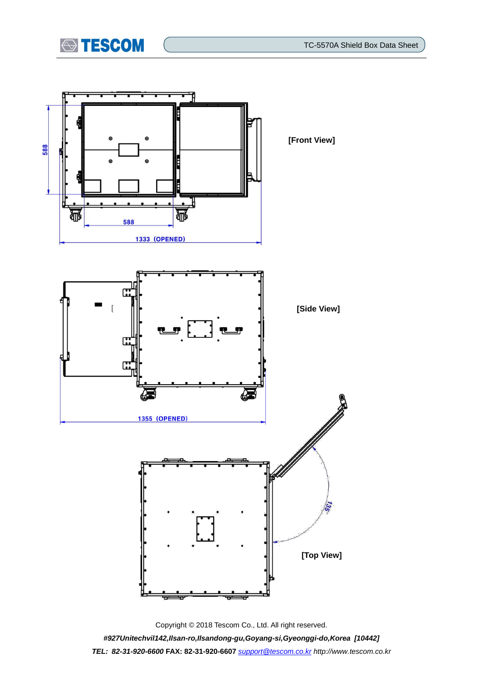





Copyright © 2018 Tescom Co., Ltd. All right reserved. *#927Unitechvil142,Ilsan-ro,Ilsandong-gu,Goyang-si,Gyeonggi-do,Korea [10442] TEL: 82-31-920-6600* **FAX: 82-31-920-6607** *[support@tescom.co.kr](mailto:support@tescom.co.kr) http://www.tescom.co.kr*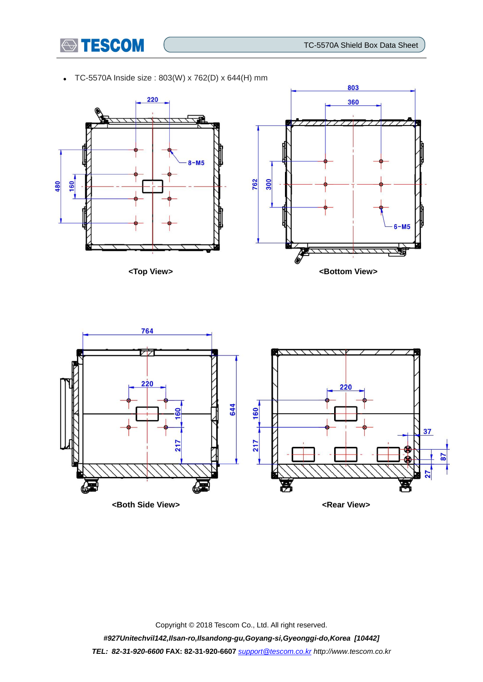803

360



TC-5570A Inside size : 803(W) x 762(D) x 644(H) mm





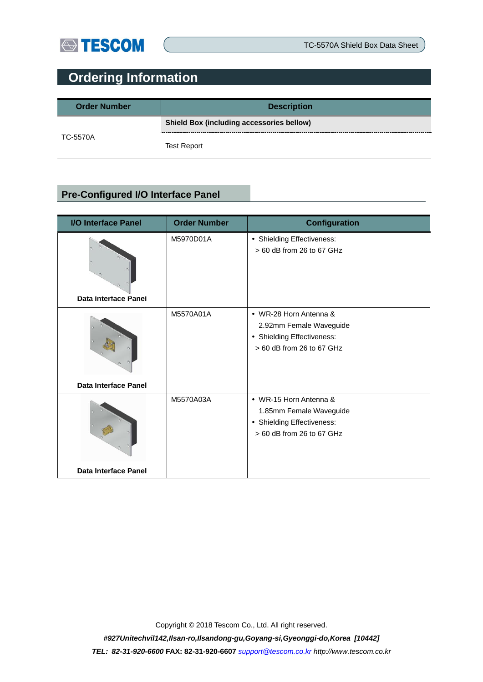

## **Ordering Information**

| <b>Order Number</b> | <b>Description</b>                        |  |
|---------------------|-------------------------------------------|--|
| TC-5570A            | Shield Box (including accessories bellow) |  |
|                     | <b>Test Report</b>                        |  |

### **Pre-Configured I/O Interface Panel**

| <b>I/O Interface Panel</b>  | <b>Order Number</b> | <b>Configuration</b>                                                                                         |
|-----------------------------|---------------------|--------------------------------------------------------------------------------------------------------------|
| <b>Data Interface Panel</b> | M5970D01A           | • Shielding Effectiveness:<br>> 60 dB from 26 to 67 GHz                                                      |
| <b>Data Interface Panel</b> | M5570A01A           | • WR-28 Horn Antenna &<br>2.92mm Female Waveguide<br>• Shielding Effectiveness:<br>> 60 dB from 26 to 67 GHz |
| <b>Data Interface Panel</b> | M5570A03A           | • WR-15 Horn Antenna &<br>1.85mm Female Waveguide<br>• Shielding Effectiveness:<br>> 60 dB from 26 to 67 GHz |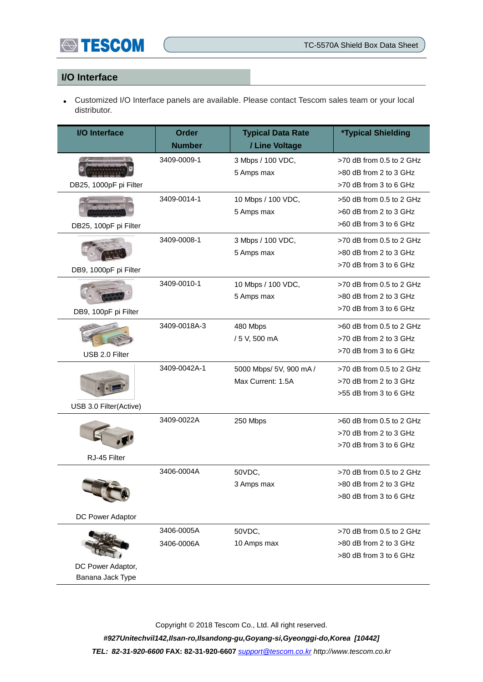

#### **I/O Interface**

 Customized I/O Interface panels are available. Please contact Tescom sales team or your local distributor.

| <b>I/O</b> Interface   | <b>Order</b><br><b>Number</b> | <b>Typical Data Rate</b><br>/ Line Voltage | <b>*Typical Shielding</b>                        |
|------------------------|-------------------------------|--------------------------------------------|--------------------------------------------------|
|                        |                               |                                            |                                                  |
|                        | 3409-0009-1                   | 3 Mbps / 100 VDC,                          | >70 dB from 0.5 to 2 GHz                         |
|                        |                               | 5 Amps max                                 | >80 dB from 2 to 3 GHz<br>>70 dB from 3 to 6 GHz |
| DB25, 1000pF pi Filter |                               |                                            |                                                  |
|                        | 3409-0014-1                   | 10 Mbps / 100 VDC,                         | >50 dB from 0.5 to 2 GHz                         |
|                        |                               | 5 Amps max                                 | >60 dB from 2 to 3 GHz                           |
| DB25, 100pF pi Filter  |                               |                                            | >60 dB from 3 to 6 GHz                           |
|                        | 3409-0008-1                   | 3 Mbps / 100 VDC,                          | >70 dB from 0.5 to 2 GHz                         |
|                        |                               | 5 Amps max                                 | >80 dB from 2 to 3 GHz                           |
| DB9, 1000pF pi Filter  |                               |                                            | >70 dB from 3 to 6 GHz                           |
|                        | 3409-0010-1                   | 10 Mbps / 100 VDC,                         | >70 dB from 0.5 to 2 GHz                         |
|                        |                               | 5 Amps max                                 | >80 dB from 2 to 3 GHz                           |
| DB9, 100pF pi Filter   |                               |                                            | >70 dB from 3 to 6 GHz                           |
|                        | 3409-0018A-3                  | 480 Mbps                                   | >60 dB from 0.5 to 2 GHz                         |
|                        |                               | / 5 V, 500 mA                              | >70 dB from 2 to 3 GHz                           |
| USB 2.0 Filter         |                               |                                            | >70 dB from 3 to 6 GHz                           |
|                        | 3409-0042A-1                  | 5000 Mbps/ 5V, 900 mA /                    | >70 dB from 0.5 to 2 GHz                         |
|                        |                               | Max Current: 1.5A                          | >70 dB from 2 to 3 GHz                           |
|                        |                               |                                            | >55 dB from 3 to 6 GHz                           |
| USB 3.0 Filter(Active) |                               |                                            |                                                  |
|                        | 3409-0022A                    | 250 Mbps                                   | >60 dB from 0.5 to 2 GHz                         |
|                        |                               |                                            | >70 dB from 2 to 3 GHz                           |
|                        |                               |                                            | >70 dB from 3 to 6 GHz                           |
| RJ-45 Filter           |                               |                                            |                                                  |
|                        | 3406-0004A                    | 50VDC,                                     | >70 dB from 0.5 to 2 GHz                         |
|                        |                               | 3 Amps max                                 | $>80$ dB from 2 to 3 GHz                         |
|                        |                               |                                            | >80 dB from 3 to 6 GHz                           |
| DC Power Adaptor       |                               |                                            |                                                  |
|                        | 3406-0005A                    | 50VDC,                                     | >70 dB from 0.5 to 2 GHz                         |
|                        | 3406-0006A                    | 10 Amps max                                | >80 dB from 2 to 3 GHz                           |
|                        |                               |                                            | >80 dB from 3 to 6 GHz                           |
| DC Power Adaptor,      |                               |                                            |                                                  |
| Banana Jack Type       |                               |                                            |                                                  |

Copyright © 2018 Tescom Co., Ltd. All right reserved.

*#927Unitechvil142,Ilsan-ro,Ilsandong-gu,Goyang-si,Gyeonggi-do,Korea [10442] TEL: 82-31-920-6600* **FAX: 82-31-920-6607** *[support@tescom.co.kr](mailto:support@tescom.co.kr) http://www.tescom.co.kr*